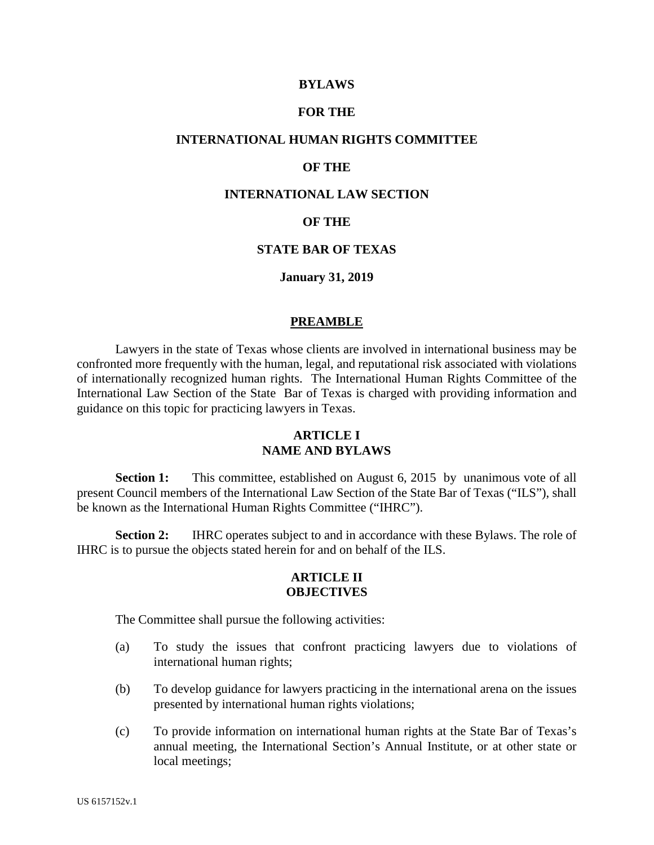### **BYLAWS**

# **FOR THE**

### **INTERNATIONAL HUMAN RIGHTS COMMITTEE**

### **OF THE**

# **INTERNATIONAL LAW SECTION**

### **OF THE**

### **STATE BAR OF TEXAS**

### **January 31, 2019**

#### **PREAMBLE**

Lawyers in the state of Texas whose clients are involved in international business may be confronted more frequently with the human, legal, and reputational risk associated with violations of internationally recognized human rights. The International Human Rights Committee of the International Law Section of the State Bar of Texas is charged with providing information and guidance on this topic for practicing lawyers in Texas.

## **ARTICLE I NAME AND BYLAWS**

**Section 1:** This committee, established on August 6, 2015 by unanimous vote of all present Council members of the International Law Section of the State Bar of Texas ("ILS"), shall be known as the International Human Rights Committee ("IHRC").

**Section 2:** IHRC operates subject to and in accordance with these Bylaws. The role of IHRC is to pursue the objects stated herein for and on behalf of the ILS.

#### **ARTICLE II OBJECTIVES**

The Committee shall pursue the following activities:

- (a) To study the issues that confront practicing lawyers due to violations of international human rights;
- (b) To develop guidance for lawyers practicing in the international arena on the issues presented by international human rights violations;
- (c) To provide information on international human rights at the State Bar of Texas's annual meeting, the International Section's Annual Institute, or at other state or local meetings;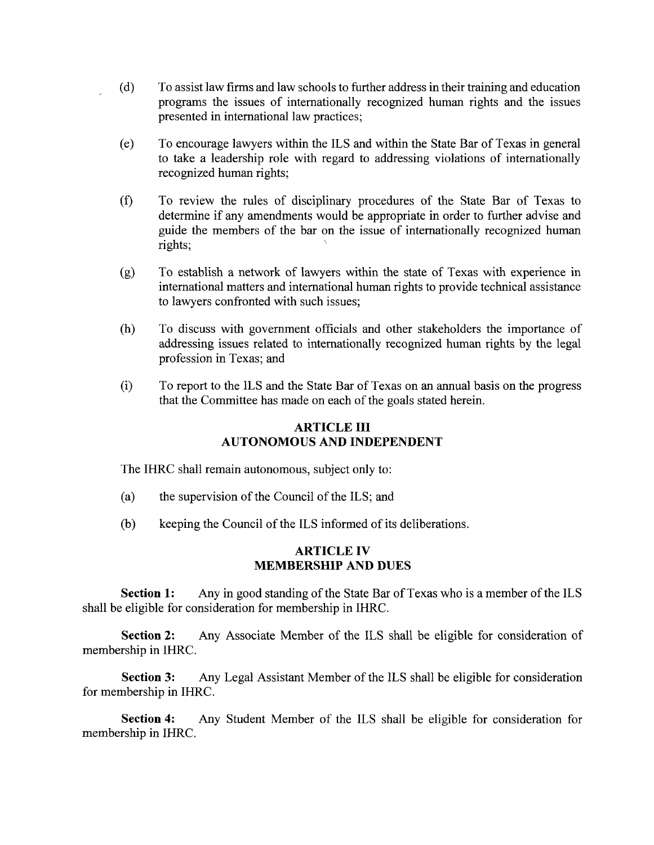- (d) To assist law firms and law schools to further address in their training and education programs the issues of internationally recognized human rights and the issues presented in international law practices;
- (e) To encourage lawyers within the ILS and within the State Bar of Texas in general to take a leadership role with regard to addressing violations of internationally recognized human rights;
- (f) To review the rules of disciplinary procedures of the State Bar of Texas to determine if any amendments would be appropriate in order to further advise and guide the members of the bar on the issue of internationally recognized human rights; version of the contract of the contract of
- (g) To establish a network of lawyers within the state of Texas with experience in international matters and international human rights to provide technical assistance to lawyers confronted with such issues;
- (h) To discuss with government officials and other stakeholders the importance of addressing issues related to internationally recognized human rights by the legal profession in Texas; and
- (i) To report to the ILS and the State Bar of Texas on an annual basis on the progress that the Committee has made on each of the goals stated herein.

# ARTICLE **III**  AUTONOMOUS AND INDEPENDENT

The IHRC shall remain autonomous, subject only to:

- (a) the supervision of the Council of the ILS; and
- (b) keeping the Council of the ILS informed of its deliberations.

## **ARTICLE IV MEMBERSHIP AND DUES**

**Section 1:** Any in good standing of the State Bar of Texas who is a member of the ILS shall be eligible for consideration for membership in IHRC.

**Section 2:** Any Associate Member of the ILS shall be eligible for consideration of membership in IHRC.

**Section 3:** Any Legal Assistant Member of the ILS shall be eligible for consideration for membership in IHRC.

**Section 4:** Any Student Member of the ILS shall be eligible for consideration for membership in IHRC.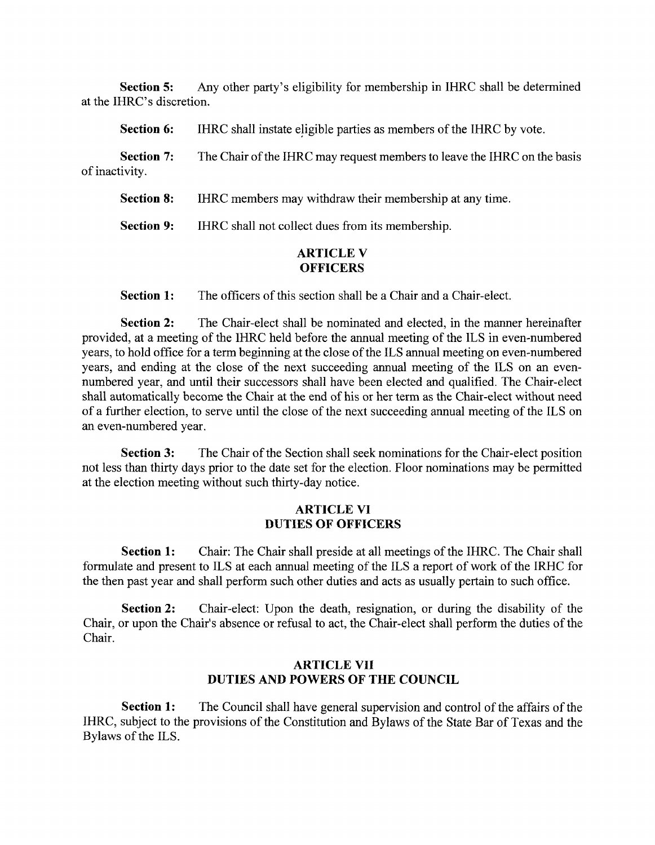**Section 5:** Any other party's eligibility for membership in IHRC shall be determined at the IHRC's discretion.

| <b>Section 6:</b>                   | IHRC shall instate eligible parties as members of the IHRC by vote.      |
|-------------------------------------|--------------------------------------------------------------------------|
| <b>Section 7:</b><br>of inactivity. | The Chair of the IHRC may request members to leave the IHRC on the basis |
| <b>Section 8:</b>                   | IHRC members may withdraw their membership at any time.                  |
|                                     |                                                                          |

**Section 9:** IHRC shall not collect dues from its membership.

# **ARTICLE V OFFICERS**

**Section 1:** The officers of this section shall be a Chair and a Chair-elect.

**Section 2:** The Chair-elect shall be nominated and elected, in the manner hereinafter provided, at a meeting of the IHRC held before the annual meeting of the ILS in even-numbered years, to hold office for a term beginning at the close of the ILS annual meeting on even-numbered years, and ending at the close of the next succeeding annual meeting of the ILS on an evennumbered year, and until their successors shall have been elected and qualified. The Chair-elect shall automatically become the Chair at the end of his or her term as the Chair-elect without need of a further election, to serve until the close of the next succeeding annual meeting of the ILS on an even-numbered year.

**Section 3:** The Chair of the Section shall seek nominations for the Chair-elect position not less than thirty days prior to the date set for the election. Floor nominations may be permitted at the election meeting without such thirty-day notice.

# **ARTICLE VI DUTIES OF OFFICERS**

**Section 1:** Chair: The Chair shall preside at all meetings of the IHRC. The Chair shall formulate and present to ILS at each annual meeting of the ILS a report of work of the IRHC for the then past year and shall perform such other duties and acts as usually pertain to such office.

**Section 2:** Chair-elect: Upon the death, resignation, or during the disability of the Chair, or upon the Chair's absence or refusal to act, the Chair-elect shall perform the duties of the Chair.

# **ARTICLE VII DUTIES AND POWERS OF THE COUNCIL**

**Section 1:** The Council shall have general supervision and control of the affairs of the IHRC, subject to the provisions of the Constitution and Bylaws of the State Bar of Texas and the Bylaws of the ILS.